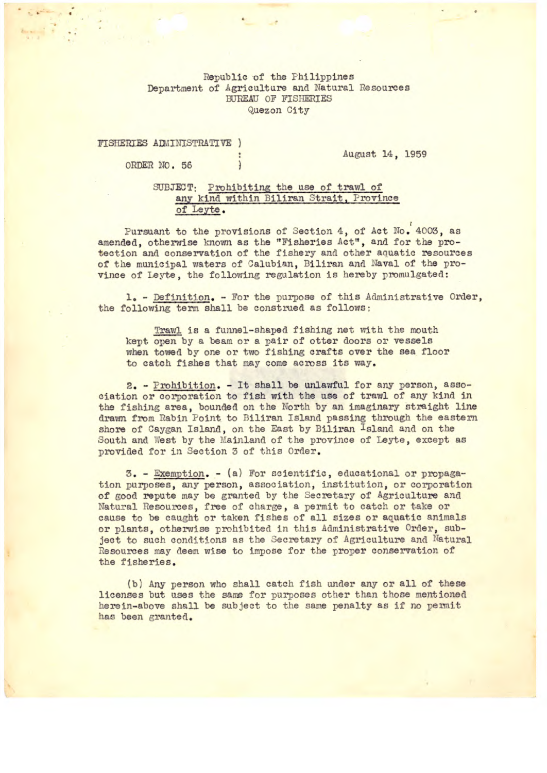Republic of the Philippines Department of Agriculture and Natural Resources BUREAU OF FISHERIES Quezon City

**FISHERIES ADMINISTRATIVE** ) **ORDER** NO. 56

4

August 14, 1959

SUBJECT: Prohibiting the use of trawl of any kind within Biliran Strait, Province of Leyte.

Pursuant to the provisions of Section 4, of Act No. 4003, as amended, otherwise known as the "Fisheries Act", and for the protection and conservation of the fishery and other aquatic resources of the municipal waters of Calubian, Biliran and Naval of the province of Leyte, the following regulation is hereby promulgated:

1. - Definition. - For the purpose of this Administrative Order, the following term shall be construed as follows:

Trawl is a funnel-shaped fishing net with the mouth kept open by a beam or a pair of otter doors or vessels when towed by one or two fishing crafts over the sea floor to catch fishes that may come across its way.

2. - Prohibition. - It shall be unlawful for any person, association or corporation to fish with the use of trawl of any kind in the fishing area, bounded on the North by an imaginary straight line drawn from Rabin Point to Biliran Island passing through the eastern shore of Caygan Island, on the East by Biliran Island and on the South and West by the Mainland of the province of Leyte, except as provided for in Section 3 of this Order.

3. - Exemption. - (a) For scientific, educational or propagation purposes, any person, association, institution, or corporation of good repute may be granted by the Secretary of Agriculture and Natural Resources, free of charge, a permit to catch or take or cause to be caught or taken fishes of all sizes or aquatic animals or plants, otherwise prohibited in this Administrative Order, subject to such conditions as the Secretary of Agriculture and Natural Resources may deem wise to impose for the proper conservation of the fisheries.

(b) Any person who shall catch fish under any or all of these licenses but uses the same for purposes other than those mentioned herein-above shall be subject to the same penalty as if no permit has been granted.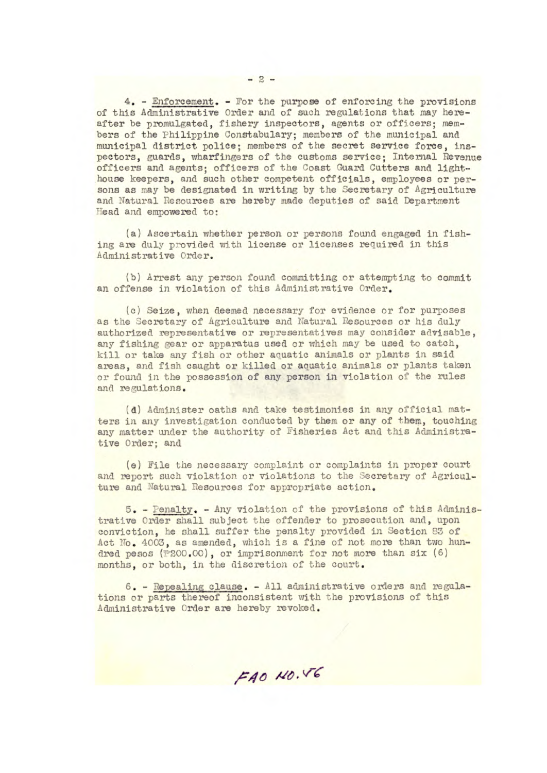4. - Enforceient. - For the purpose of enforcing the provisions of this Administrative Order and of such regulations that may hereafter be promulgated, fishery inspectors, agents or officers; members of the Philippine Constabulary; members of the municipal and municipal district police; members of the secret service force, inspectors, guards, wharfingers of the customs service; Internal Revenue officers and agents; officers of the Coast Cuard Cutters and lighthouse keepers, and such other competent officials, employees or persons as may be designated in writing by the Secretary of Agriculture and Natural Resources are hereby made deputies of said Department Head and empowered to:

(a) Ascertain whether person or persons found engaged in fishing are duly provided with license or licenses required in this Administrative Order.

(b) Arrest any person found committing or attempting to commit an offense in violation of this Administrative Order.

(c) Seize, when deemed necessary for evidence or for purposes as the Secretary of Agriculture and Natural Resources or his duly authorized representative or representatives may consider advisable, any fishing gear or apparatus used or which may be used to catch, kill or take any fish or other aquatic animals or plants in said areas, and fish caught or killed or aquatic animals or plants taken or found in the possession of any person in violation of the rules and regulations.

(d) Administer oaths and take testimonies in any official matters in any investigation conducted by them or any of them, touching any matter under the authority of Fisheries Act and this Administrative Order; and

(e) File the necessary complaint or complaints in proper court and report such violation or violations to the Secretary of Agriculture and Natural Resources for appropriate action.

5. - lenalty, - Any violation of the provisions of this Aclministrative Order shall subject the offender to prosecution and, upon conviction, he shall suffer the penalty provided in Section 83 of Act No. 4003, as amended, which is a fine of not more than two hundred pesos  $(F200.00)$ , or imprisonment for not more than six  $(6)$ months, or both, in the discretion of the court.

6. - Repealing clause. - All administrative orders and regulations or parts thereof Inconsistent with the provisions of this Administrative Order are hereby revoked.

 $FAONO. V6$